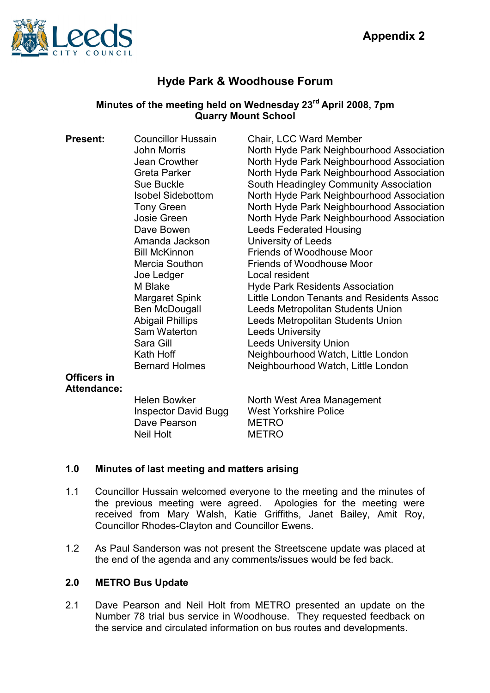

# Hyde Park & Woodhouse Forum

# Minutes of the meeting held on Wednesday 23<sup>rd</sup> April 2008, 7pm Quarry Mount School

| <b>Present:</b> | <b>Councillor Hussain</b> | Chair, LCC Ward Member                    |
|-----------------|---------------------------|-------------------------------------------|
|                 | John Morris               | North Hyde Park Neighbourhood Association |
|                 | Jean Crowther             | North Hyde Park Neighbourhood Association |
|                 | Greta Parker              | North Hyde Park Neighbourhood Association |
|                 | Sue Buckle                | South Headingley Community Association    |
|                 | <b>Isobel Sidebottom</b>  | North Hyde Park Neighbourhood Association |
|                 | <b>Tony Green</b>         | North Hyde Park Neighbourhood Association |
|                 | Josie Green               | North Hyde Park Neighbourhood Association |
|                 | Dave Bowen                | <b>Leeds Federated Housing</b>            |
|                 | Amanda Jackson            | University of Leeds                       |
|                 | <b>Bill McKinnon</b>      | Friends of Woodhouse Moor                 |
|                 | Mercia Southon            | <b>Friends of Woodhouse Moor</b>          |
|                 | Joe Ledger                | Local resident                            |
|                 | M Blake                   | <b>Hyde Park Residents Association</b>    |
|                 | Margaret Spink            | Little London Tenants and Residents Assoc |
|                 | Ben McDougall             | Leeds Metropolitan Students Union         |
|                 | <b>Abigail Phillips</b>   | Leeds Metropolitan Students Union         |
|                 | Sam Waterton              | <b>Leeds University</b>                   |
|                 | Sara Gill                 | <b>Leeds University Union</b>             |
|                 | Kath Hoff                 | Neighbourhood Watch, Little London        |
|                 | <b>Bernard Holmes</b>     | Neighbourhood Watch, Little London        |
| Officers in     |                           |                                           |
|                 |                           |                                           |

# Attendance:

Dave Pearson METRO<br>
Neil Holt MFTRO

Helen Bowker North West Area Management Inspector David Bugg West Yorkshire Police **METRO** 

#### 1.0 Minutes of last meeting and matters arising

- 1.1 Councillor Hussain welcomed everyone to the meeting and the minutes of the previous meeting were agreed. Apologies for the meeting were received from Mary Walsh, Katie Griffiths, Janet Bailey, Amit Roy, Councillor Rhodes-Clayton and Councillor Ewens.
- 1.2 As Paul Sanderson was not present the Streetscene update was placed at the end of the agenda and any comments/issues would be fed back.

# 2.0 METRO Bus Update

2.1 Dave Pearson and Neil Holt from METRO presented an update on the Number 78 trial bus service in Woodhouse. They requested feedback on the service and circulated information on bus routes and developments.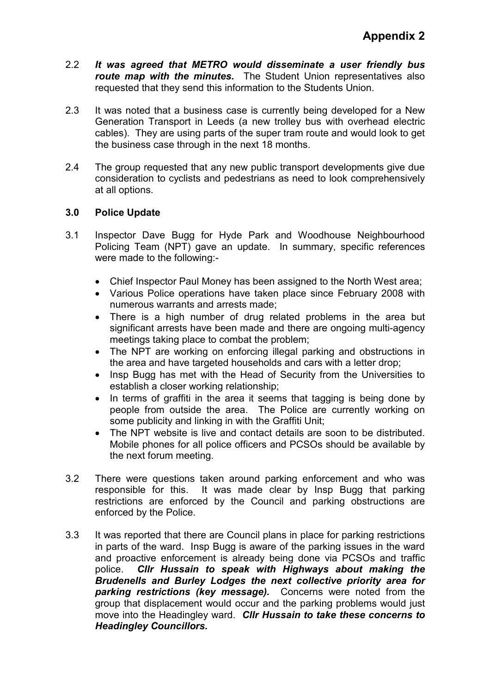- 2.2 It was agreed that METRO would disseminate a user friendly bus route map with the minutes. The Student Union representatives also requested that they send this information to the Students Union.
- 2.3 It was noted that a business case is currently being developed for a New Generation Transport in Leeds (a new trolley bus with overhead electric cables). They are using parts of the super tram route and would look to get the business case through in the next 18 months.
- 2.4 The group requested that any new public transport developments give due consideration to cyclists and pedestrians as need to look comprehensively at all options.

# 3.0 Police Update

- 3.1 Inspector Dave Bugg for Hyde Park and Woodhouse Neighbourhood Policing Team (NPT) gave an update. In summary, specific references were made to the following:-
	- Chief Inspector Paul Money has been assigned to the North West area;
	- Various Police operations have taken place since February 2008 with numerous warrants and arrests made;
	- There is a high number of drug related problems in the area but significant arrests have been made and there are ongoing multi-agency meetings taking place to combat the problem;
	- The NPT are working on enforcing illegal parking and obstructions in the area and have targeted households and cars with a letter drop;
	- Insp Bugg has met with the Head of Security from the Universities to establish a closer working relationship;
	- In terms of graffiti in the area it seems that tagging is being done by people from outside the area. The Police are currently working on some publicity and linking in with the Graffiti Unit;
	- The NPT website is live and contact details are soon to be distributed. Mobile phones for all police officers and PCSOs should be available by the next forum meeting.
- 3.2 There were questions taken around parking enforcement and who was responsible for this. It was made clear by Insp Bugg that parking restrictions are enforced by the Council and parking obstructions are enforced by the Police.
- 3.3 It was reported that there are Council plans in place for parking restrictions in parts of the ward. Insp Bugg is aware of the parking issues in the ward and proactive enforcement is already being done via PCSOs and traffic police. Cllr Hussain to speak with Highways about making the Brudenells and Burley Lodges the next collective priority area for parking restrictions (key message). Concerns were noted from the group that displacement would occur and the parking problems would just move into the Headingley ward. Cllr Hussain to take these concerns to Headingley Councillors.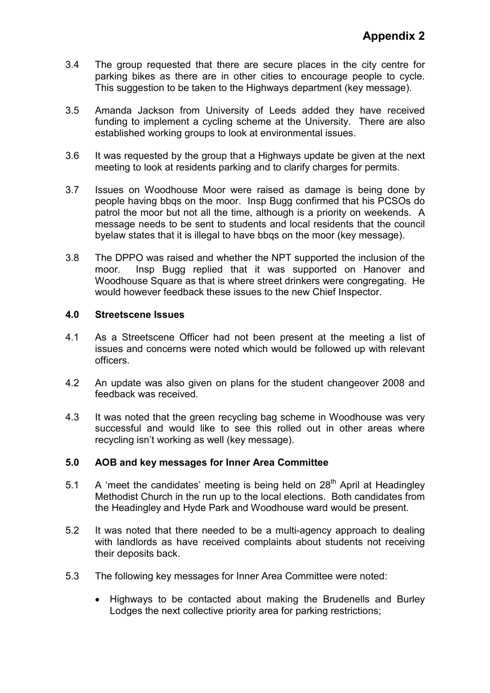- 3.4 The group requested that there are secure places in the city centre for parking bikes as there are in other cities to encourage people to cycle. This suggestion to be taken to the Highways department (key message).
- 3.5 Amanda Jackson from University of Leeds added they have received funding to implement a cycling scheme at the University. There are also established working groups to look at environmental issues.
- 3.6 It was requested by the group that a Highways update be given at the next meeting to look at residents parking and to clarify charges for permits.
- 3.7 Issues on Woodhouse Moor were raised as damage is being done by people having bbqs on the moor. Insp Bugg confirmed that his PCSOs do patrol the moor but not all the time, although is a priority on weekends. A message needs to be sent to students and local residents that the council byelaw states that it is illegal to have bbqs on the moor (key message).
- 3.8 The DPPO was raised and whether the NPT supported the inclusion of the moor. Insp Bugg replied that it was supported on Hanover and Woodhouse Square as that is where street drinkers were congregating. He would however feedback these issues to the new Chief Inspector.

#### 4.0 Streetscene Issues

- 4.1 As a Streetscene Officer had not been present at the meeting a list of issues and concerns were noted which would be followed up with relevant officers.
- 4.2 An update was also given on plans for the student changeover 2008 and feedback was received.
- 4.3 It was noted that the green recycling bag scheme in Woodhouse was very successful and would like to see this rolled out in other areas where recycling isn't working as well (key message).

#### 5.0 AOB and key messages for Inner Area Committee

- 5.1 A 'meet the candidates' meeting is being held on  $28<sup>th</sup>$  April at Headingley Methodist Church in the run up to the local elections. Both candidates from the Headingley and Hyde Park and Woodhouse ward would be present.
- 5.2 It was noted that there needed to be a multi-agency approach to dealing with landlords as have received complaints about students not receiving their deposits back.
- 5.3 The following key messages for Inner Area Committee were noted:
	- Highways to be contacted about making the Brudenells and Burley Lodges the next collective priority area for parking restrictions;